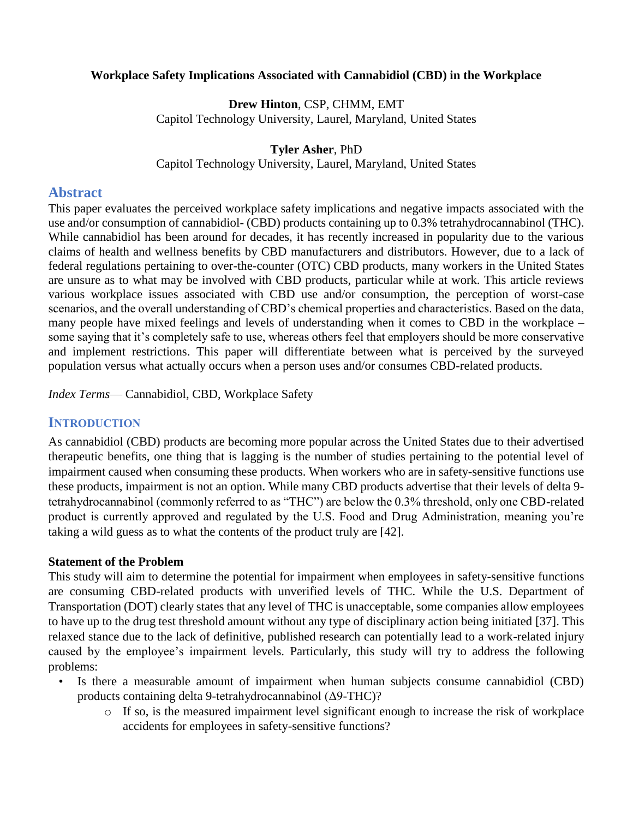## **Workplace Safety Implications Associated with Cannabidiol (CBD) in the Workplace**

**Drew Hinton**, CSP, CHMM, EMT Capitol Technology University, Laurel, Maryland, United States

## **Tyler Asher**, PhD

Capitol Technology University, Laurel, Maryland, United States

# **Abstract**

This paper evaluates the perceived workplace safety implications and negative impacts associated with the use and/or consumption of cannabidiol- (CBD) products containing up to 0.3% tetrahydrocannabinol (THC). While cannabidiol has been around for decades, it has recently increased in popularity due to the various claims of health and wellness benefits by CBD manufacturers and distributors. However, due to a lack of federal regulations pertaining to over-the-counter (OTC) CBD products, many workers in the United States are unsure as to what may be involved with CBD products, particular while at work. This article reviews various workplace issues associated with CBD use and/or consumption, the perception of worst-case scenarios, and the overall understanding of CBD's chemical properties and characteristics. Based on the data, many people have mixed feelings and levels of understanding when it comes to CBD in the workplace – some saying that it's completely safe to use, whereas others feel that employers should be more conservative and implement restrictions. This paper will differentiate between what is perceived by the surveyed population versus what actually occurs when a person uses and/or consumes CBD-related products.

*Index Terms*— Cannabidiol, CBD, Workplace Safety

# **INTRODUCTION**

As cannabidiol (CBD) products are becoming more popular across the United States due to their advertised therapeutic benefits, one thing that is lagging is the number of studies pertaining to the potential level of impairment caused when consuming these products. When workers who are in safety-sensitive functions use these products, impairment is not an option. While many CBD products advertise that their levels of delta 9 tetrahydrocannabinol (commonly referred to as "THC") are below the 0.3% threshold, only one CBD-related product is currently approved and regulated by the U.S. Food and Drug Administration, meaning you're taking a wild guess as to what the contents of the product truly are [42].

# **Statement of the Problem**

This study will aim to determine the potential for impairment when employees in safety-sensitive functions are consuming CBD-related products with unverified levels of THC. While the U.S. Department of Transportation (DOT) clearly states that any level of THC is unacceptable, some companies allow employees to have up to the drug test threshold amount without any type of disciplinary action being initiated [37]. This relaxed stance due to the lack of definitive, published research can potentially lead to a work-related injury caused by the employee's impairment levels. Particularly, this study will try to address the following problems:

- Is there a measurable amount of impairment when human subjects consume cannabidiol (CBD) products containing delta 9-tetrahydrocannabinol (Δ9-THC)?
	- o If so, is the measured impairment level significant enough to increase the risk of workplace accidents for employees in safety-sensitive functions?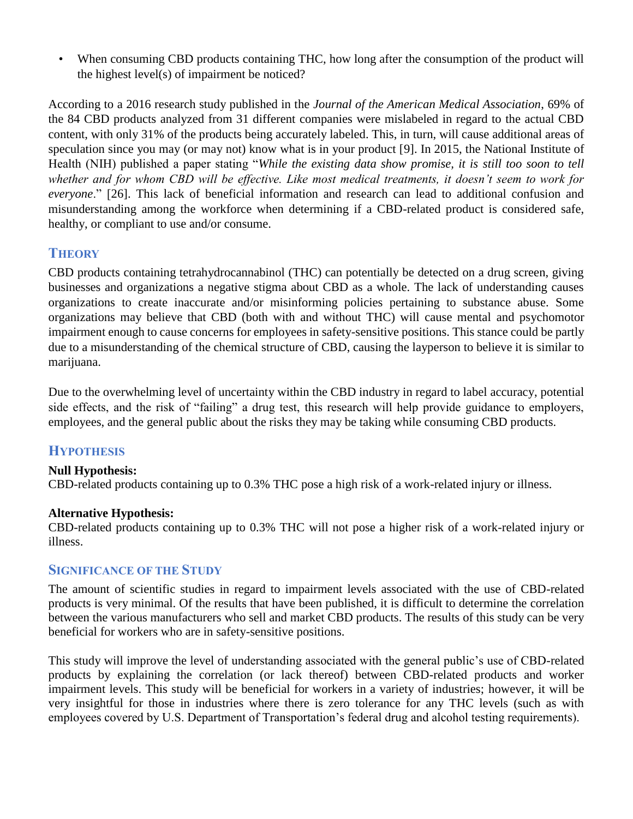• When consuming CBD products containing THC, how long after the consumption of the product will the highest level(s) of impairment be noticed?

According to a 2016 research study published in the *Journal of the American Medical Association*, 69% of the 84 CBD products analyzed from 31 different companies were mislabeled in regard to the actual CBD content, with only 31% of the products being accurately labeled. This, in turn, will cause additional areas of speculation since you may (or may not) know what is in your product [9]. In 2015, the National Institute of Health (NIH) published a paper stating "*While the existing data show promise, it is still too soon to tell whether and for whom CBD will be effective. Like most medical treatments, it doesn't seem to work for everyone*." [26]. This lack of beneficial information and research can lead to additional confusion and misunderstanding among the workforce when determining if a CBD-related product is considered safe, healthy, or compliant to use and/or consume.

# **THEORY**

CBD products containing tetrahydrocannabinol (THC) can potentially be detected on a drug screen, giving businesses and organizations a negative stigma about CBD as a whole. The lack of understanding causes organizations to create inaccurate and/or misinforming policies pertaining to substance abuse. Some organizations may believe that CBD (both with and without THC) will cause mental and psychomotor impairment enough to cause concerns for employees in safety-sensitive positions. This stance could be partly due to a misunderstanding of the chemical structure of CBD, causing the layperson to believe it is similar to marijuana.

Due to the overwhelming level of uncertainty within the CBD industry in regard to label accuracy, potential side effects, and the risk of "failing" a drug test, this research will help provide guidance to employers, employees, and the general public about the risks they may be taking while consuming CBD products.

# **HYPOTHESIS**

# **Null Hypothesis:**

CBD-related products containing up to 0.3% THC pose a high risk of a work-related injury or illness.

# **Alternative Hypothesis:**

CBD-related products containing up to 0.3% THC will not pose a higher risk of a work-related injury or illness.

# **SIGNIFICANCE OF THE STUDY**

The amount of scientific studies in regard to impairment levels associated with the use of CBD-related products is very minimal. Of the results that have been published, it is difficult to determine the correlation between the various manufacturers who sell and market CBD products. The results of this study can be very beneficial for workers who are in safety-sensitive positions.

This study will improve the level of understanding associated with the general public's use of CBD-related products by explaining the correlation (or lack thereof) between CBD-related products and worker impairment levels. This study will be beneficial for workers in a variety of industries; however, it will be very insightful for those in industries where there is zero tolerance for any THC levels (such as with employees covered by U.S. Department of Transportation's federal drug and alcohol testing requirements).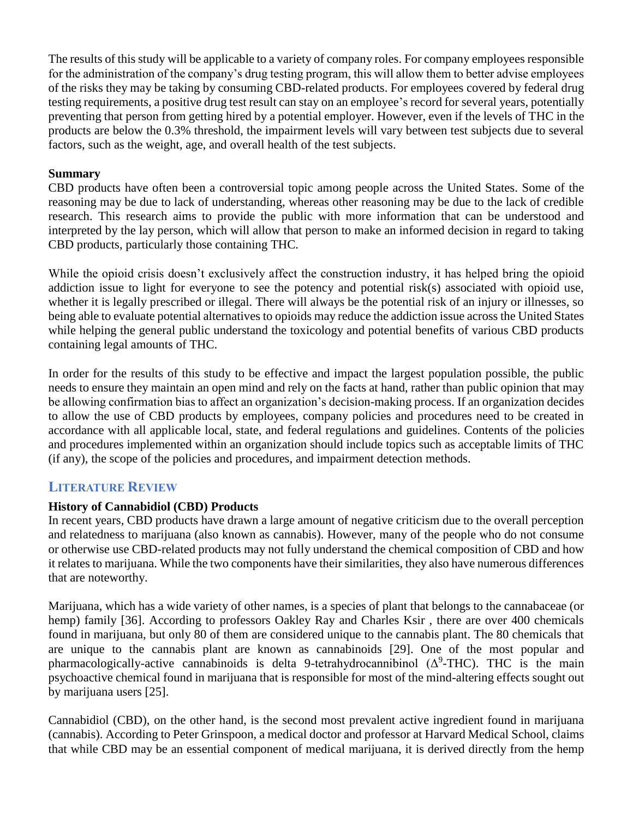The results of this study will be applicable to a variety of company roles. For company employees responsible for the administration of the company's drug testing program, this will allow them to better advise employees of the risks they may be taking by consuming CBD-related products. For employees covered by federal drug testing requirements, a positive drug test result can stay on an employee's record for several years, potentially preventing that person from getting hired by a potential employer. However, even if the levels of THC in the products are below the 0.3% threshold, the impairment levels will vary between test subjects due to several factors, such as the weight, age, and overall health of the test subjects.

## **Summary**

CBD products have often been a controversial topic among people across the United States. Some of the reasoning may be due to lack of understanding, whereas other reasoning may be due to the lack of credible research. This research aims to provide the public with more information that can be understood and interpreted by the lay person, which will allow that person to make an informed decision in regard to taking CBD products, particularly those containing THC.

While the opioid crisis doesn't exclusively affect the construction industry, it has helped bring the opioid addiction issue to light for everyone to see the potency and potential risk(s) associated with opioid use, whether it is legally prescribed or illegal. There will always be the potential risk of an injury or illnesses, so being able to evaluate potential alternatives to opioids may reduce the addiction issue across the United States while helping the general public understand the toxicology and potential benefits of various CBD products containing legal amounts of THC.

In order for the results of this study to be effective and impact the largest population possible, the public needs to ensure they maintain an open mind and rely on the facts at hand, rather than public opinion that may be allowing confirmation bias to affect an organization's decision-making process. If an organization decides to allow the use of CBD products by employees, company policies and procedures need to be created in accordance with all applicable local, state, and federal regulations and guidelines. Contents of the policies and procedures implemented within an organization should include topics such as acceptable limits of THC (if any), the scope of the policies and procedures, and impairment detection methods.

# **LITERATURE REVIEW**

# **History of Cannabidiol (CBD) Products**

In recent years, CBD products have drawn a large amount of negative criticism due to the overall perception and relatedness to marijuana (also known as cannabis). However, many of the people who do not consume or otherwise use CBD-related products may not fully understand the chemical composition of CBD and how it relates to marijuana. While the two components have their similarities, they also have numerous differences that are noteworthy.

Marijuana, which has a wide variety of other names, is a species of plant that belongs to the cannabaceae (or hemp) family [36]. According to professors Oakley Ray and Charles Ksir, there are over 400 chemicals found in marijuana, but only 80 of them are considered unique to the cannabis plant. The 80 chemicals that are unique to the cannabis plant are known as cannabinoids [29]. One of the most popular and pharmacologically-active cannabinoids is delta 9-tetrahydrocannibinol  $(\Delta^9$ -THC). THC is the main psychoactive chemical found in marijuana that is responsible for most of the mind-altering effects sought out by marijuana users [25].

Cannabidiol (CBD), on the other hand, is the second most prevalent active ingredient found in marijuana (cannabis). According to Peter Grinspoon, a medical doctor and professor at Harvard Medical School, claims that while CBD may be an essential component of medical marijuana, it is derived directly from the hemp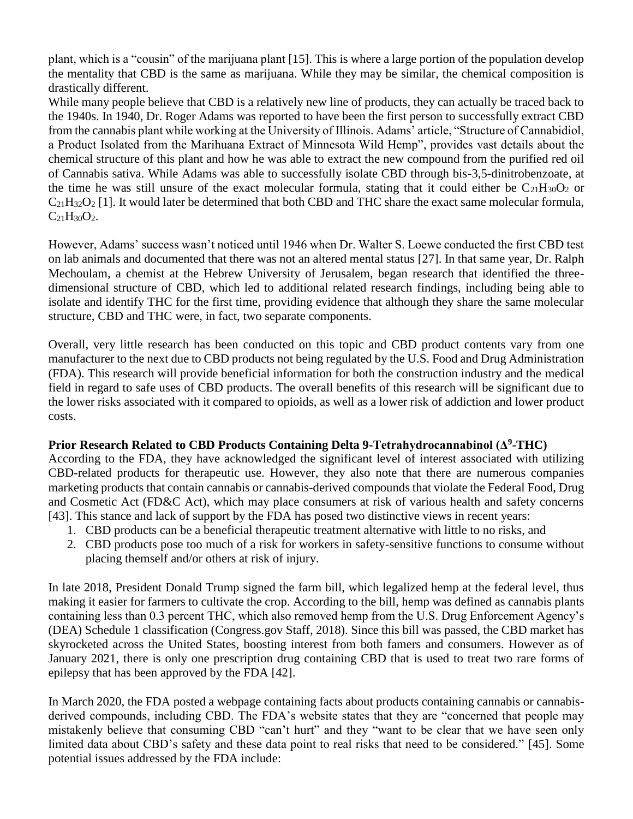plant, which is a "cousin" of the marijuana plant [15]. This is where a large portion of the population develop the mentality that CBD is the same as marijuana. While they may be similar, the chemical composition is drastically different.

While many people believe that CBD is a relatively new line of products, they can actually be traced back to the 1940s. In 1940, Dr. Roger Adams was reported to have been the first person to successfully extract CBD from the cannabis plant while working at the University of Illinois. Adams' article, "Structure of Cannabidiol, a Product Isolated from the Marihuana Extract of Minnesota Wild Hemp", provides vast details about the chemical structure of this plant and how he was able to extract the new compound from the purified red oil of Cannabis sativa. While Adams was able to successfully isolate CBD through bis-3,5-dinitrobenzoate, at the time he was still unsure of the exact molecular formula, stating that it could either be  $C_{21}H_{30}O_2$  or  $C_{21}H_{32}O_2$  [1]. It would later be determined that both CBD and THC share the exact same molecular formula,  $C_{21}H_{30}O_{2}$ .

However, Adams' success wasn't noticed until 1946 when Dr. Walter S. Loewe conducted the first CBD test on lab animals and documented that there was not an altered mental status [27]. In that same year, Dr. Ralph Mechoulam, a chemist at the Hebrew University of Jerusalem, began research that identified the threedimensional structure of CBD, which led to additional related research findings, including being able to isolate and identify THC for the first time, providing evidence that although they share the same molecular structure, CBD and THC were, in fact, two separate components.

Overall, very little research has been conducted on this topic and CBD product contents vary from one manufacturer to the next due to CBD products not being regulated by the U.S. Food and Drug Administration (FDA). This research will provide beneficial information for both the construction industry and the medical field in regard to safe uses of CBD products. The overall benefits of this research will be significant due to the lower risks associated with it compared to opioids, as well as a lower risk of addiction and lower product costs.

# **Prior Research Related to CBD Products Containing Delta 9-Tetrahydrocannabinol (Δ<sup>9</sup> -THC)**

According to the FDA, they have acknowledged the significant level of interest associated with utilizing CBD-related products for therapeutic use. However, they also note that there are numerous companies marketing products that contain cannabis or cannabis-derived compounds that violate the Federal Food, Drug and Cosmetic Act (FD&C Act), which may place consumers at risk of various health and safety concerns [43]. This stance and lack of support by the FDA has posed two distinctive views in recent years:

- 1. CBD products can be a beneficial therapeutic treatment alternative with little to no risks, and
- 2. CBD products pose too much of a risk for workers in safety-sensitive functions to consume without placing themself and/or others at risk of injury.

In late 2018, President Donald Trump signed the farm bill, which legalized hemp at the federal level, thus making it easier for farmers to cultivate the crop. According to the bill, hemp was defined as cannabis plants containing less than 0.3 percent THC, which also removed hemp from the U.S. Drug Enforcement Agency's (DEA) Schedule 1 classification (Congress.gov Staff, 2018). Since this bill was passed, the CBD market has skyrocketed across the United States, boosting interest from both famers and consumers. However as of January 2021, there is only one prescription drug containing CBD that is used to treat two rare forms of epilepsy that has been approved by the FDA [42].

In March 2020, the FDA posted a webpage containing facts about products containing cannabis or cannabisderived compounds, including CBD. The FDA's website states that they are "concerned that people may mistakenly believe that consuming CBD "can't hurt" and they "want to be clear that we have seen only limited data about CBD's safety and these data point to real risks that need to be considered." [45]. Some potential issues addressed by the FDA include: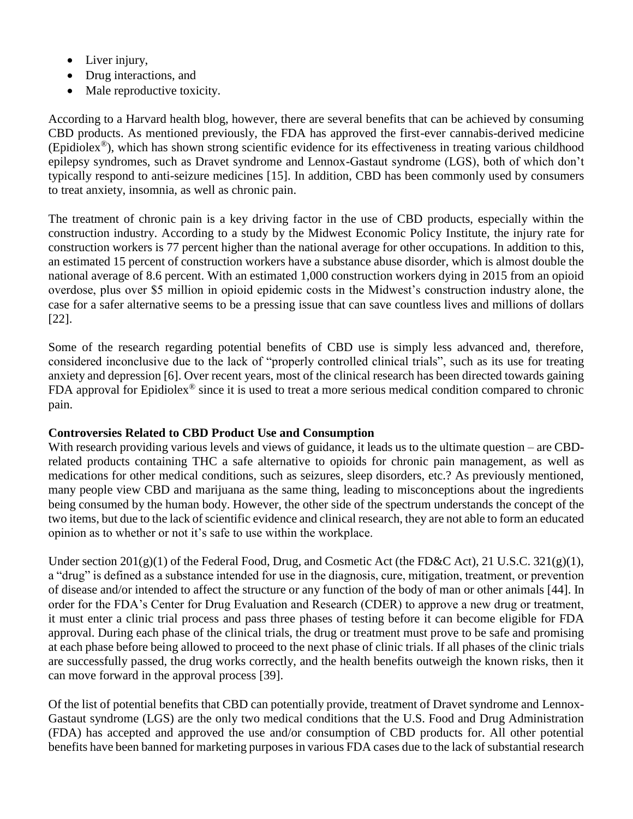- Liver injury,
- Drug interactions, and
- Male reproductive toxicity.

According to a Harvard health blog, however, there are several benefits that can be achieved by consuming CBD products. As mentioned previously, the FDA has approved the first-ever cannabis-derived medicine (Epidiolex®), which has shown strong scientific evidence for its effectiveness in treating various childhood epilepsy syndromes, such as Dravet syndrome and Lennox-Gastaut syndrome (LGS), both of which don't typically respond to anti-seizure medicines [15]. In addition, CBD has been commonly used by consumers to treat anxiety, insomnia, as well as chronic pain.

The treatment of chronic pain is a key driving factor in the use of CBD products, especially within the construction industry. According to a study by the Midwest Economic Policy Institute, the injury rate for construction workers is 77 percent higher than the national average for other occupations. In addition to this, an estimated 15 percent of construction workers have a substance abuse disorder, which is almost double the national average of 8.6 percent. With an estimated 1,000 construction workers dying in 2015 from an opioid overdose, plus over \$5 million in opioid epidemic costs in the Midwest's construction industry alone, the case for a safer alternative seems to be a pressing issue that can save countless lives and millions of dollars [22].

Some of the research regarding potential benefits of CBD use is simply less advanced and, therefore, considered inconclusive due to the lack of "properly controlled clinical trials", such as its use for treating anxiety and depression [6]. Over recent years, most of the clinical research has been directed towards gaining FDA approval for Epidiolex® since it is used to treat a more serious medical condition compared to chronic pain.

# **Controversies Related to CBD Product Use and Consumption**

With research providing various levels and views of guidance, it leads us to the ultimate question – are CBDrelated products containing THC a safe alternative to opioids for chronic pain management, as well as medications for other medical conditions, such as seizures, sleep disorders, etc.? As previously mentioned, many people view CBD and marijuana as the same thing, leading to misconceptions about the ingredients being consumed by the human body. However, the other side of the spectrum understands the concept of the two items, but due to the lack of scientific evidence and clinical research, they are not able to form an educated opinion as to whether or not it's safe to use within the workplace.

Under section  $201(g)(1)$  of the Federal Food, Drug, and Cosmetic Act (the FD&C Act), 21 U.S.C. 321(g)(1), a "drug" is defined as a substance intended for use in the diagnosis, cure, mitigation, treatment, or prevention of disease and/or intended to affect the structure or any function of the body of man or other animals [44]. In order for the FDA's Center for Drug Evaluation and Research (CDER) to approve a new drug or treatment, it must enter a clinic trial process and pass three phases of testing before it can become eligible for FDA approval. During each phase of the clinical trials, the drug or treatment must prove to be safe and promising at each phase before being allowed to proceed to the next phase of clinic trials. If all phases of the clinic trials are successfully passed, the drug works correctly, and the health benefits outweigh the known risks, then it can move forward in the approval process [39].

Of the list of potential benefits that CBD can potentially provide, treatment of Dravet syndrome and Lennox-Gastaut syndrome (LGS) are the only two medical conditions that the U.S. Food and Drug Administration (FDA) has accepted and approved the use and/or consumption of CBD products for. All other potential benefits have been banned for marketing purposes in various FDA cases due to the lack of substantial research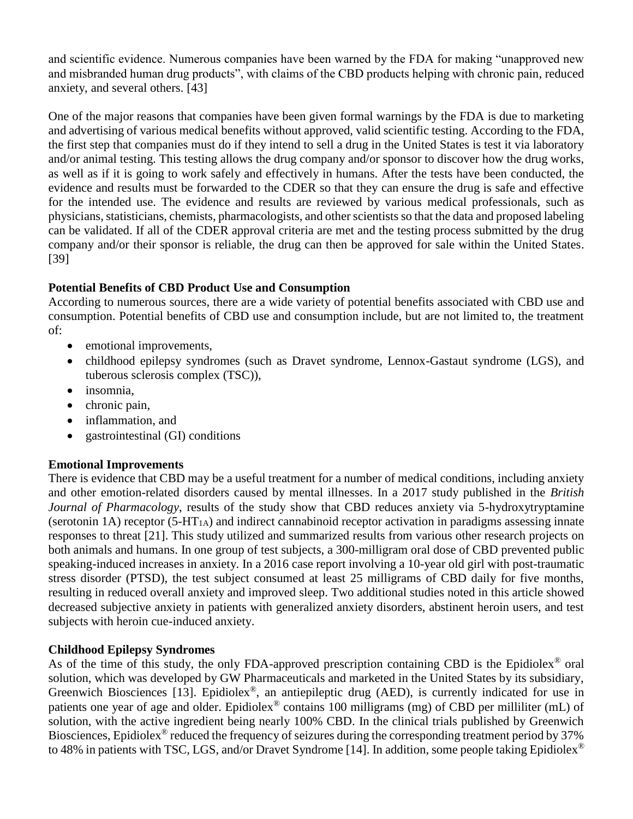and scientific evidence. Numerous companies have been warned by the FDA for making "unapproved new and misbranded human drug products", with claims of the CBD products helping with chronic pain, reduced anxiety, and several others. [43]

One of the major reasons that companies have been given formal warnings by the FDA is due to marketing and advertising of various medical benefits without approved, valid scientific testing. According to the FDA, the first step that companies must do if they intend to sell a drug in the United States is test it via laboratory and/or animal testing. This testing allows the drug company and/or sponsor to discover how the drug works, as well as if it is going to work safely and effectively in humans. After the tests have been conducted, the evidence and results must be forwarded to the CDER so that they can ensure the drug is safe and effective for the intended use. The evidence and results are reviewed by various medical professionals, such as physicians, statisticians, chemists, pharmacologists, and other scientists so that the data and proposed labeling can be validated. If all of the CDER approval criteria are met and the testing process submitted by the drug company and/or their sponsor is reliable, the drug can then be approved for sale within the United States. [39]

# **Potential Benefits of CBD Product Use and Consumption**

According to numerous sources, there are a wide variety of potential benefits associated with CBD use and consumption. Potential benefits of CBD use and consumption include, but are not limited to, the treatment of:

- emotional improvements,
- childhood epilepsy syndromes (such as Dravet syndrome, Lennox-Gastaut syndrome (LGS), and tuberous sclerosis complex (TSC)),
- insomnia,
- chronic pain,
- inflammation, and
- gastrointestinal (GI) conditions

# **Emotional Improvements**

There is evidence that CBD may be a useful treatment for a number of medical conditions, including anxiety and other emotion-related disorders caused by mental illnesses. In a 2017 study published in the *British Journal of Pharmacology*, results of the study show that CBD reduces anxiety via 5-hydroxytryptamine (serotonin 1A) receptor  $(5-HT<sub>1A</sub>)$  and indirect cannabinoid receptor activation in paradigms assessing innate responses to threat [21]. This study utilized and summarized results from various other research projects on both animals and humans. In one group of test subjects, a 300-milligram oral dose of CBD prevented public speaking-induced increases in anxiety. In a 2016 case report involving a 10-year old girl with post-traumatic stress disorder (PTSD), the test subject consumed at least 25 milligrams of CBD daily for five months, resulting in reduced overall anxiety and improved sleep. Two additional studies noted in this article showed decreased subjective anxiety in patients with generalized anxiety disorders, abstinent heroin users, and test subjects with heroin cue-induced anxiety.

# **Childhood Epilepsy Syndromes**

As of the time of this study, the only FDA-approved prescription containing CBD is the Epidiolex<sup>®</sup> oral solution, which was developed by GW Pharmaceuticals and marketed in the United States by its subsidiary, Greenwich Biosciences [13]. Epidiolex®, an antiepileptic drug (AED), is currently indicated for use in patients one year of age and older. Epidiolex® contains 100 milligrams (mg) of CBD per milliliter (mL) of solution, with the active ingredient being nearly 100% CBD. In the clinical trials published by Greenwich Biosciences, Epidiolex<sup>®</sup> reduced the frequency of seizures during the corresponding treatment period by 37% to 48% in patients with TSC, LGS, and/or Dravet Syndrome [14]. In addition, some people taking Epidiolex<sup>®</sup>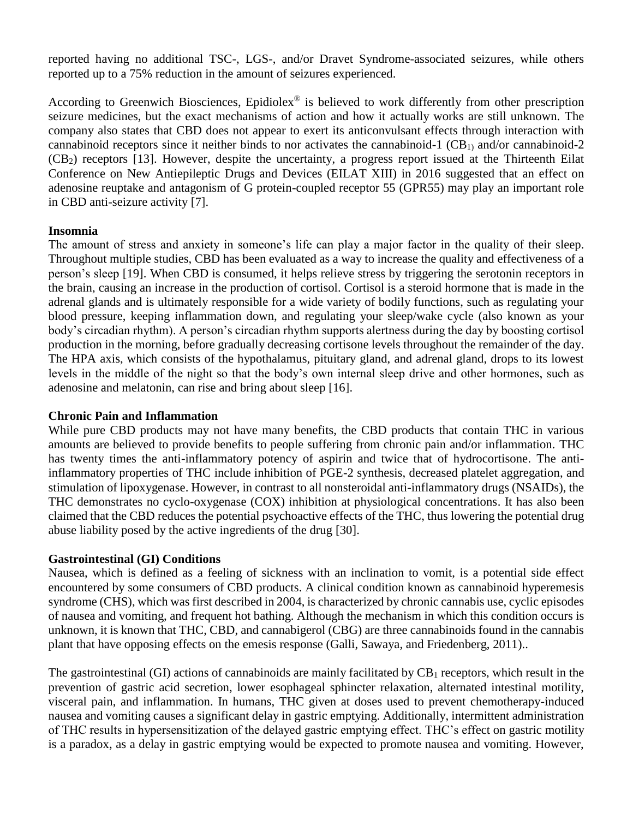reported having no additional TSC-, LGS-, and/or Dravet Syndrome-associated seizures, while others reported up to a 75% reduction in the amount of seizures experienced.

According to Greenwich Biosciences, Epidiolex<sup>®</sup> is believed to work differently from other prescription seizure medicines, but the exact mechanisms of action and how it actually works are still unknown. The company also states that CBD does not appear to exert its anticonvulsant effects through interaction with cannabinoid receptors since it neither binds to nor activates the cannabinoid-1  $(CB<sub>1</sub>)$  and/or cannabinoid-2 (CB2) receptors [13]. However, despite the uncertainty, a progress report issued at the Thirteenth Eilat Conference on New Antiepileptic Drugs and Devices (EILAT XIII) in 2016 suggested that an effect on adenosine reuptake and antagonism of G protein-coupled receptor 55 (GPR55) may play an important role in CBD anti-seizure activity [7].

## **Insomnia**

The amount of stress and anxiety in someone's life can play a major factor in the quality of their sleep. Throughout multiple studies, CBD has been evaluated as a way to increase the quality and effectiveness of a person's sleep [19]. When CBD is consumed, it helps relieve stress by triggering the serotonin receptors in the brain, causing an increase in the production of cortisol. Cortisol is a steroid hormone that is made in the adrenal glands and is ultimately responsible for a wide variety of bodily functions, such as regulating your blood pressure, keeping inflammation down, and regulating your sleep/wake cycle (also known as your body's circadian rhythm). A person's circadian rhythm supports alertness during the day by boosting cortisol production in the morning, before gradually decreasing cortisone levels throughout the remainder of the day. The HPA axis, which consists of the hypothalamus, pituitary gland, and adrenal gland, drops to its lowest levels in the middle of the night so that the body's own internal sleep drive and other hormones, such as adenosine and melatonin, can rise and bring about sleep [16].

## **Chronic Pain and Inflammation**

While pure CBD products may not have many benefits, the CBD products that contain THC in various amounts are believed to provide benefits to people suffering from chronic pain and/or inflammation. THC has twenty times the anti-inflammatory potency of aspirin and twice that of hydrocortisone. The antiinflammatory properties of THC include inhibition of PGE-2 synthesis, decreased platelet aggregation, and stimulation of lipoxygenase. However, in contrast to all nonsteroidal anti-inflammatory drugs (NSAIDs), the THC demonstrates no cyclo-oxygenase (COX) inhibition at physiological concentrations. It has also been claimed that the CBD reduces the potential psychoactive effects of the THC, thus lowering the potential drug abuse liability posed by the active ingredients of the drug [30].

## **Gastrointestinal (GI) Conditions**

Nausea, which is defined as a feeling of sickness with an inclination to vomit, is a potential side effect encountered by some consumers of CBD products. A clinical condition known as cannabinoid hyperemesis syndrome (CHS), which was first described in 2004, is characterized by chronic cannabis use, cyclic episodes of nausea and vomiting, and frequent hot bathing. Although the mechanism in which this condition occurs is unknown, it is known that THC, CBD, and cannabigerol (CBG) are three cannabinoids found in the cannabis plant that have opposing effects on the emesis response (Galli, Sawaya, and Friedenberg, 2011)..

The gastrointestinal (GI) actions of cannabinoids are mainly facilitated by  $CB_1$  receptors, which result in the prevention of gastric acid secretion, lower esophageal sphincter relaxation, alternated intestinal motility, visceral pain, and inflammation. In humans, THC given at doses used to prevent chemotherapy-induced nausea and vomiting causes a significant delay in gastric emptying. Additionally, intermittent administration of THC results in hypersensitization of the delayed gastric emptying effect. THC's effect on gastric motility is a paradox, as a delay in gastric emptying would be expected to promote nausea and vomiting. However,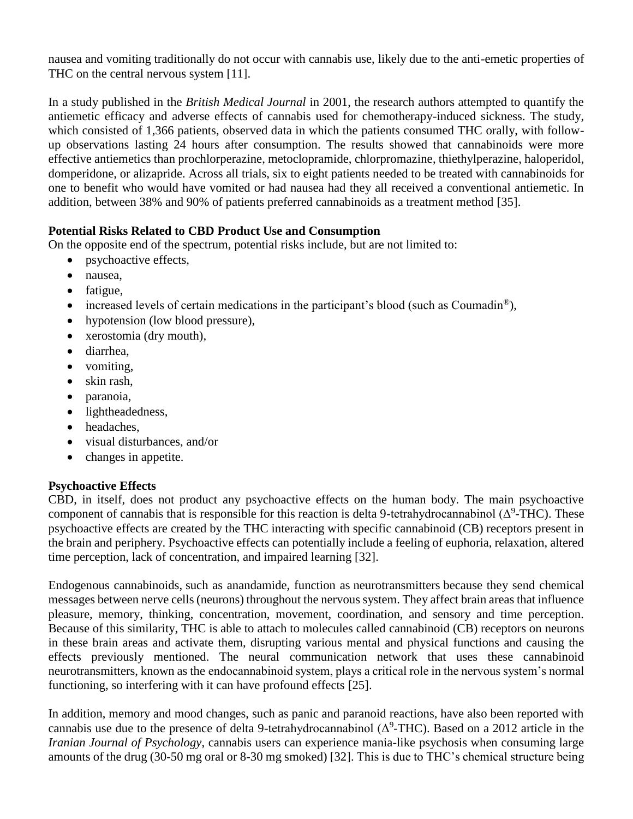nausea and vomiting traditionally do not occur with cannabis use, likely due to the anti-emetic properties of THC on the central nervous system [11].

In a study published in the *British Medical Journal* in 2001, the research authors attempted to quantify the antiemetic efficacy and adverse effects of cannabis used for chemotherapy-induced sickness. The study, which consisted of 1,366 patients, observed data in which the patients consumed THC orally, with followup observations lasting 24 hours after consumption. The results showed that cannabinoids were more effective antiemetics than prochlorperazine, metoclopramide, chlorpromazine, thiethylperazine, haloperidol, domperidone, or alizapride. Across all trials, six to eight patients needed to be treated with cannabinoids for one to benefit who would have vomited or had nausea had they all received a conventional antiemetic. In addition, between 38% and 90% of patients preferred cannabinoids as a treatment method [35].

# **Potential Risks Related to CBD Product Use and Consumption**

On the opposite end of the spectrum, potential risks include, but are not limited to:

- psychoactive effects,
- nausea,
- fatigue,
- increased levels of certain medications in the participant's blood (such as Coumadin<sup>®</sup>),
- hypotension (low blood pressure),
- xerostomia (dry mouth),
- diarrhea,
- vomiting,
- skin rash,
- paranoia,
- lightheadedness,
- headaches,
- visual disturbances, and/or
- changes in appetite.

# **Psychoactive Effects**

CBD, in itself, does not product any psychoactive effects on the human body. The main psychoactive component of cannabis that is responsible for this reaction is delta 9-tetrahydrocannabinol  $(\Delta^9$ -THC). These psychoactive effects are created by the THC interacting with specific cannabinoid (CB) receptors present in the brain and periphery. Psychoactive effects can potentially include a feeling of euphoria, relaxation, altered time perception, lack of concentration, and impaired learning [32].

Endogenous cannabinoids, such as anandamide, function as neurotransmitters because they send chemical messages between nerve cells (neurons) throughout the nervous system. They affect brain areas that influence pleasure, memory, thinking, concentration, movement, coordination, and sensory and time perception. Because of this similarity, THC is able to attach to molecules called cannabinoid (CB) receptors on neurons in these brain areas and activate them, disrupting various mental and physical functions and causing the effects previously mentioned. The neural communication network that uses these cannabinoid neurotransmitters, known as the endocannabinoid system, plays a critical role in the nervous system's normal functioning, so interfering with it can have profound effects [25].

In addition, memory and mood changes, such as panic and paranoid reactions, have also been reported with cannabis use due to the presence of delta 9-tetrahydrocannabinol  $(\Delta^9$ -THC). Based on a 2012 article in the *Iranian Journal of Psychology*, cannabis users can experience mania-like psychosis when consuming large amounts of the drug (30-50 mg oral or 8-30 mg smoked) [32]. This is due to THC's chemical structure being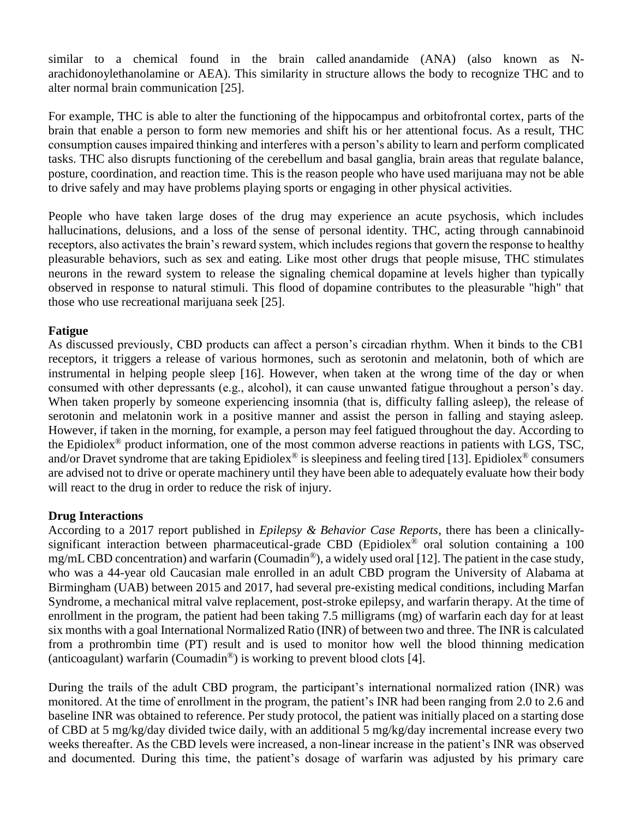similar to a chemical found in the brain called anandamide (ANA) (also known as Narachidonoylethanolamine or AEA). This similarity in structure allows the body to recognize THC and to alter normal brain communication [25].

For example, THC is able to alter the functioning of the hippocampus and orbitofrontal cortex, parts of the brain that enable a person to form new memories and shift his or her attentional focus. As a result, THC consumption causes impaired thinking and interferes with a person's ability to learn and perform complicated tasks. THC also disrupts functioning of the cerebellum and basal ganglia, brain areas that regulate balance, posture, coordination, and reaction time. This is the reason people who have used marijuana may not be able to drive safely and may have problems playing sports or engaging in other physical activities.

People who have taken large doses of the drug may experience an acute psychosis, which includes hallucinations, delusions, and a loss of the sense of personal identity. THC, acting through cannabinoid receptors, also activates the brain's reward system, which includes regions that govern the response to healthy pleasurable behaviors, such as sex and eating. Like most other drugs that people misuse, THC stimulates neurons in the reward system to release the signaling chemical dopamine at levels higher than typically observed in response to natural stimuli. This flood of dopamine contributes to the pleasurable "high" that those who use recreational marijuana seek [25].

# **Fatigue**

As discussed previously, CBD products can affect a person's circadian rhythm. When it binds to the CB1 receptors, it triggers a release of various hormones, such as serotonin and melatonin, both of which are instrumental in helping people sleep [16]. However, when taken at the wrong time of the day or when consumed with other depressants (e.g., alcohol), it can cause unwanted fatigue throughout a person's day. When taken properly by someone experiencing insomnia (that is, difficulty falling asleep), the release of serotonin and melatonin work in a positive manner and assist the person in falling and staying asleep. However, if taken in the morning, for example, a person may feel fatigued throughout the day. According to the Epidiolex® product information, one of the most common adverse reactions in patients with LGS, TSC, and/or Dravet syndrome that are taking Epidiolex<sup>®</sup> is sleepiness and feeling tired [13]. Epidiolex<sup>®</sup> consumers are advised not to drive or operate machinery until they have been able to adequately evaluate how their body will react to the drug in order to reduce the risk of injury.

# **Drug Interactions**

According to a 2017 report published in *Epilepsy & Behavior Case Reports*, there has been a clinicallysignificant interaction between pharmaceutical-grade CBD (Epidiolex<sup>®</sup> oral solution containing a 100 mg/mL CBD concentration) and warfarin (Coumadin<sup>®</sup>), a widely used oral [12]. The patient in the case study, who was a 44-year old Caucasian male enrolled in an adult CBD program the University of Alabama at Birmingham (UAB) between 2015 and 2017, had several pre-existing medical conditions, including Marfan Syndrome, a mechanical mitral valve replacement, post-stroke epilepsy, and warfarin therapy. At the time of enrollment in the program, the patient had been taking 7.5 milligrams (mg) of warfarin each day for at least six months with a goal International Normalized Ratio (INR) of between two and three. The INR is calculated from a prothrombin time (PT) result and is used to monitor how well the blood thinning medication (anticoagulant) warfarin (Coumadin<sup>®</sup>) is working to prevent blood clots [4].

During the trails of the adult CBD program, the participant's international normalized ration (INR) was monitored. At the time of enrollment in the program, the patient's INR had been ranging from 2.0 to 2.6 and baseline INR was obtained to reference. Per study protocol, the patient was initially placed on a starting dose of CBD at 5 mg/kg/day divided twice daily, with an additional 5 mg/kg/day incremental increase every two weeks thereafter. As the CBD levels were increased, a non-linear increase in the patient's INR was observed and documented. During this time, the patient's dosage of warfarin was adjusted by his primary care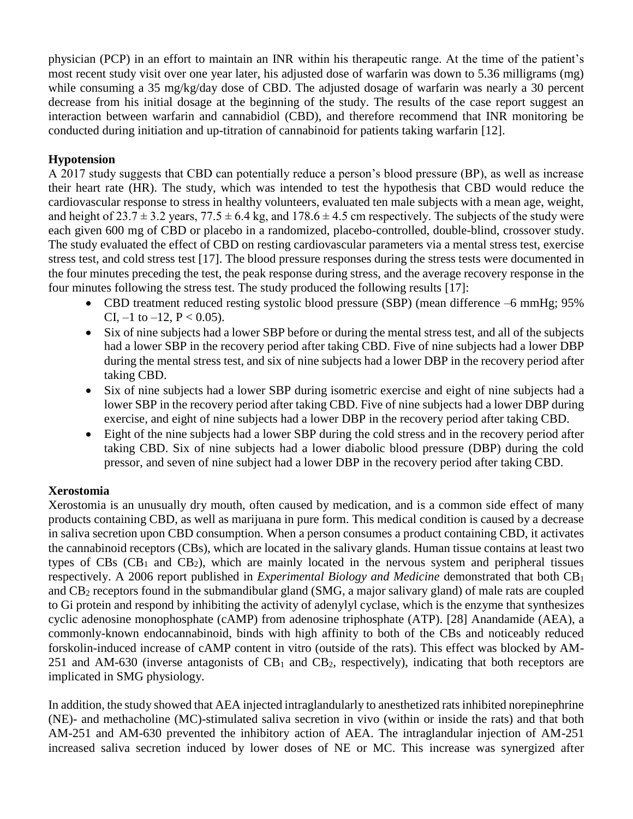physician (PCP) in an effort to maintain an INR within his therapeutic range. At the time of the patient's most recent study visit over one year later, his adjusted dose of warfarin was down to 5.36 milligrams (mg) while consuming a 35 mg/kg/day dose of CBD. The adjusted dosage of warfarin was nearly a 30 percent decrease from his initial dosage at the beginning of the study. The results of the case report suggest an interaction between warfarin and cannabidiol (CBD), and therefore recommend that INR monitoring be conducted during initiation and up-titration of cannabinoid for patients taking warfarin [12].

# **Hypotension**

A 2017 study suggests that CBD can potentially reduce a person's blood pressure (BP), as well as increase their heart rate (HR). The study, which was intended to test the hypothesis that CBD would reduce the cardiovascular response to stress in healthy volunteers, evaluated ten male subjects with a mean age, weight, and height of  $23.7 \pm 3.2$  years,  $77.5 \pm 6.4$  kg, and  $178.6 \pm 4.5$  cm respectively. The subjects of the study were each given 600 mg of CBD or placebo in a randomized, placebo-controlled, double-blind, crossover study. The study evaluated the effect of CBD on resting cardiovascular parameters via a mental stress test, exercise stress test, and cold stress test [17]. The blood pressure responses during the stress tests were documented in the four minutes preceding the test, the peak response during stress, and the average recovery response in the four minutes following the stress test. The study produced the following results [17]:

- CBD treatment reduced resting systolic blood pressure (SBP) (mean difference –6 mmHg; 95% CI,  $-1$  to  $-12$ ,  $P < 0.05$ ).
- Six of nine subjects had a lower SBP before or during the mental stress test, and all of the subjects had a lower SBP in the recovery period after taking CBD. Five of nine subjects had a lower DBP during the mental stress test, and six of nine subjects had a lower DBP in the recovery period after taking CBD.
- Six of nine subjects had a lower SBP during isometric exercise and eight of nine subjects had a lower SBP in the recovery period after taking CBD. Five of nine subjects had a lower DBP during exercise, and eight of nine subjects had a lower DBP in the recovery period after taking CBD.
- Eight of the nine subjects had a lower SBP during the cold stress and in the recovery period after taking CBD. Six of nine subjects had a lower diabolic blood pressure (DBP) during the cold pressor, and seven of nine subject had a lower DBP in the recovery period after taking CBD.

# **Xerostomia**

Xerostomia is an unusually dry mouth, often caused by medication, and is a common side effect of many products containing CBD, as well as marijuana in pure form. This medical condition is caused by a decrease in saliva secretion upon CBD consumption. When a person consumes a product containing CBD, it activates the cannabinoid receptors (CBs), which are located in the salivary glands. Human tissue contains at least two types of  $CBs$  ( $CB<sub>1</sub>$  and  $CB<sub>2</sub>$ ), which are mainly located in the nervous system and peripheral tissues respectively. A 2006 report published in *Experimental Biology and Medicine* demonstrated that both CB<sup>1</sup> and CB<sup>2</sup> receptors found in the submandibular gland (SMG, a major salivary gland) of male rats are coupled to Gi protein and respond by inhibiting the activity of adenylyl cyclase, which is the enzyme that synthesizes cyclic adenosine monophosphate (cAMP) from adenosine triphosphate (ATP). [28] Anandamide (AEA), a commonly-known endocannabinoid, binds with high affinity to both of the CBs and noticeably reduced forskolin-induced increase of cAMP content in vitro (outside of the rats). This effect was blocked by AM-251 and AM-630 (inverse antagonists of  $CB_1$  and  $CB_2$ , respectively), indicating that both receptors are implicated in SMG physiology.

In addition, the study showed that AEA injected intraglandularly to anesthetized rats inhibited norepinephrine (NE)- and methacholine (MC)-stimulated saliva secretion in vivo (within or inside the rats) and that both AM-251 and AM-630 prevented the inhibitory action of AEA. The intraglandular injection of AM-251 increased saliva secretion induced by lower doses of NE or MC. This increase was synergized after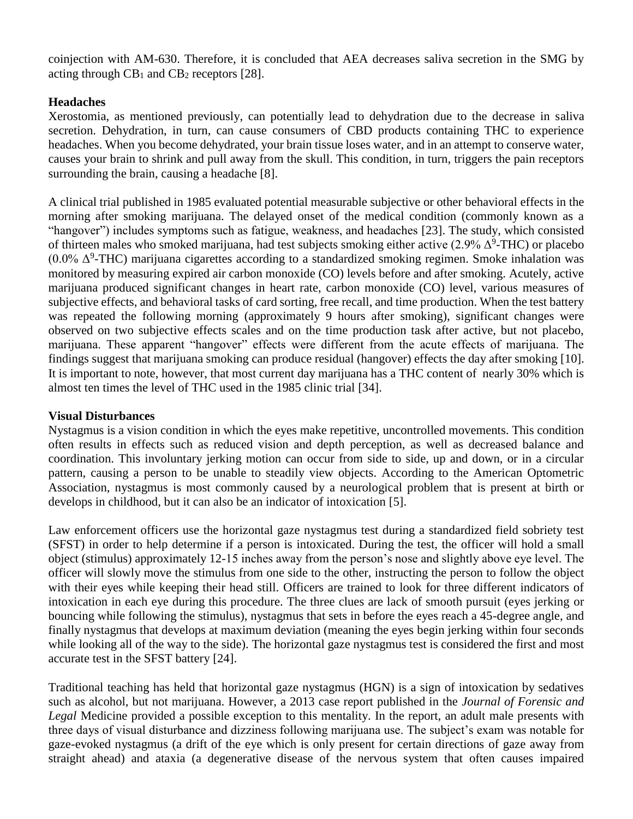coinjection with AM-630. Therefore, it is concluded that AEA decreases saliva secretion in the SMG by acting through  $CB_1$  and  $CB_2$  receptors [28].

# **Headaches**

Xerostomia, as mentioned previously, can potentially lead to dehydration due to the decrease in saliva secretion. Dehydration, in turn, can cause consumers of CBD products containing THC to experience headaches. When you become dehydrated, your brain tissue loses water, and in an attempt to conserve water, causes your brain to shrink and pull away from the skull. This condition, in turn, triggers the pain receptors surrounding the brain, causing a headache [8].

A clinical trial published in 1985 evaluated potential measurable subjective or other behavioral effects in the morning after smoking marijuana. The delayed onset of the medical condition (commonly known as a "hangover") includes symptoms such as fatigue, weakness, and headaches [23]. The study, which consisted of thirteen males who smoked marijuana, had test subjects smoking either active  $(2.9\% \Delta^9$ -THC) or placebo  $(0.0\% \Delta^9$ -THC) marijuana cigarettes according to a standardized smoking regimen. Smoke inhalation was monitored by measuring expired air carbon monoxide (CO) levels before and after smoking. Acutely, active marijuana produced significant changes in heart rate, carbon monoxide (CO) level, various measures of subjective effects, and behavioral tasks of card sorting, free recall, and time production. When the test battery was repeated the following morning (approximately 9 hours after smoking), significant changes were observed on two subjective effects scales and on the time production task after active, but not placebo, marijuana. These apparent "hangover" effects were different from the acute effects of marijuana. The findings suggest that marijuana smoking can produce residual (hangover) effects the day after smoking [10]. It is important to note, however, that most current day marijuana has a THC content of nearly 30% which is almost ten times the level of THC used in the 1985 clinic trial [34].

# **Visual Disturbances**

Nystagmus is a vision condition in which the eyes make repetitive, uncontrolled movements. This condition often results in effects such as reduced vision and depth perception, as well as decreased balance and coordination. This involuntary jerking motion can occur from side to side, up and down, or in a circular pattern, causing a person to be unable to steadily view objects. According to the American Optometric Association, nystagmus is most commonly caused by a neurological problem that is present at birth or develops in childhood, but it can also be an indicator of intoxication [5].

Law enforcement officers use the horizontal gaze nystagmus test during a standardized field sobriety test (SFST) in order to help determine if a person is intoxicated. During the test, the officer will hold a small object (stimulus) approximately 12-15 inches away from the person's nose and slightly above eye level. The officer will slowly move the stimulus from one side to the other, instructing the person to follow the object with their eyes while keeping their head still. Officers are trained to look for three different indicators of intoxication in each eye during this procedure. The three clues are lack of smooth pursuit (eyes jerking or bouncing while following the stimulus), nystagmus that sets in before the eyes reach a 45-degree angle, and finally nystagmus that develops at maximum deviation (meaning the eyes begin jerking within four seconds while looking all of the way to the side). The horizontal gaze nystagmus test is considered the first and most accurate test in the SFST battery [24].

Traditional teaching has held that horizontal gaze nystagmus (HGN) is a sign of intoxication by sedatives such as alcohol, but not marijuana. However, a 2013 case report published in the *Journal of Forensic and Legal* Medicine provided a possible exception to this mentality. In the report, an adult male presents with three days of visual disturbance and dizziness following marijuana use. The subject's exam was notable for gaze-evoked nystagmus (a drift of the eye which is only present for certain directions of gaze away from straight ahead) and ataxia (a degenerative disease of the nervous system that often causes impaired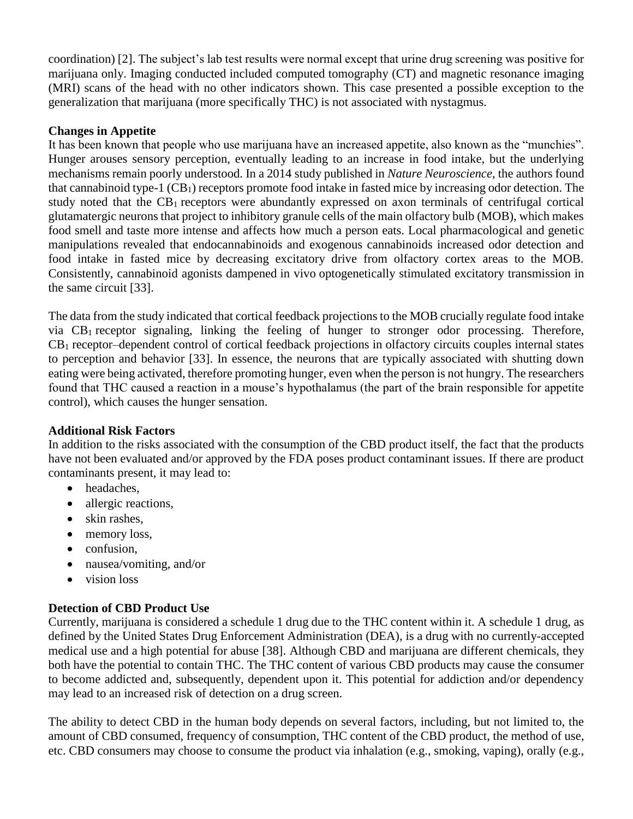coordination) [2]. The subject's lab test results were normal except that urine drug screening was positive for marijuana only. Imaging conducted included computed tomography (CT) and magnetic resonance imaging (MRI) scans of the head with no other indicators shown. This case presented a possible exception to the generalization that marijuana (more specifically THC) is not associated with nystagmus.

# **Changes in Appetite**

It has been known that people who use marijuana have an increased appetite, also known as the "munchies". Hunger arouses sensory perception, eventually leading to an increase in food intake, but the underlying mechanisms remain poorly understood. In a 2014 study published in *Nature Neuroscience*, the authors found that cannabinoid type-1  $(CB_1)$  receptors promote food intake in fasted mice by increasing odor detection. The study noted that the CB<sup>1</sup> receptors were abundantly expressed on axon terminals of centrifugal cortical glutamatergic neurons that project to inhibitory granule cells of the main olfactory bulb (MOB), which makes food smell and taste more intense and affects how much a person eats. Local pharmacological and genetic manipulations revealed that endocannabinoids and exogenous cannabinoids increased odor detection and food intake in fasted mice by decreasing excitatory drive from olfactory cortex areas to the MOB. Consistently, cannabinoid agonists dampened in vivo optogenetically stimulated excitatory transmission in the same circuit [33].

The data from the study indicated that cortical feedback projections to the MOB crucially regulate food intake via CB<sup>1</sup> receptor signaling, linking the feeling of hunger to stronger odor processing. Therefore, CB<sup>1</sup> receptor–dependent control of cortical feedback projections in olfactory circuits couples internal states to perception and behavior [33]. In essence, the neurons that are typically associated with shutting down eating were being activated, therefore promoting hunger, even when the person is not hungry. The researchers found that THC caused a reaction in a mouse's hypothalamus (the part of the brain responsible for appetite control), which causes the hunger sensation.

# **Additional Risk Factors**

In addition to the risks associated with the consumption of the CBD product itself, the fact that the products have not been evaluated and/or approved by the FDA poses product contaminant issues. If there are product contaminants present, it may lead to:

- headaches.
- allergic reactions,
- skin rashes.
- memory loss,
- confusion.
- nausea/vomiting, and/or
- vision loss

# **Detection of CBD Product Use**

Currently, marijuana is considered a schedule 1 drug due to the THC content within it. A schedule 1 drug, as defined by the United States Drug Enforcement Administration (DEA), is a drug with no currently-accepted medical use and a high potential for abuse [38]. Although CBD and marijuana are different chemicals, they both have the potential to contain THC. The THC content of various CBD products may cause the consumer to become addicted and, subsequently, dependent upon it. This potential for addiction and/or dependency may lead to an increased risk of detection on a drug screen.

The ability to detect CBD in the human body depends on several factors, including, but not limited to, the amount of CBD consumed, frequency of consumption, THC content of the CBD product, the method of use, etc. CBD consumers may choose to consume the product via inhalation (e.g., smoking, vaping), orally (e.g.,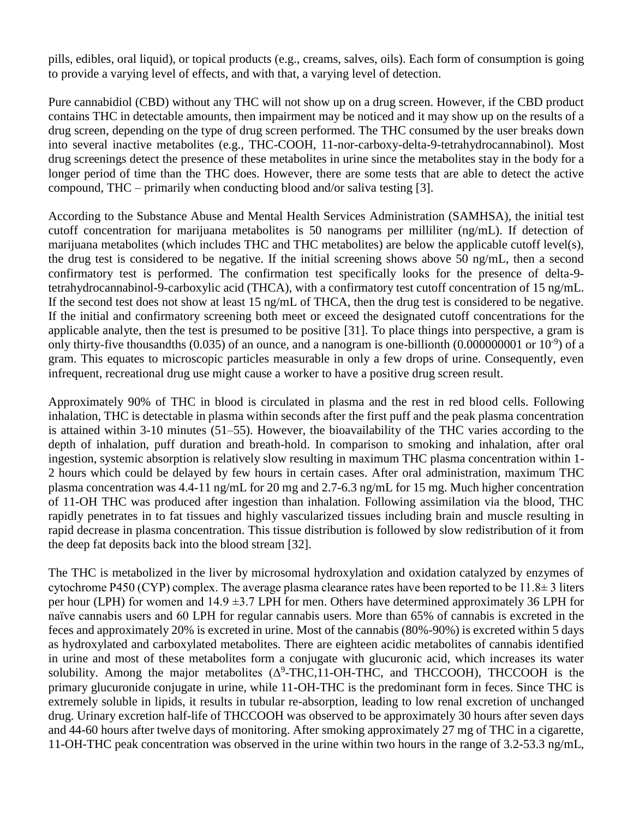pills, edibles, oral liquid), or topical products (e.g., creams, salves, oils). Each form of consumption is going to provide a varying level of effects, and with that, a varying level of detection.

Pure cannabidiol (CBD) without any THC will not show up on a drug screen. However, if the CBD product contains THC in detectable amounts, then impairment may be noticed and it may show up on the results of a drug screen, depending on the type of drug screen performed. The THC consumed by the user breaks down into several inactive metabolites (e.g., THC-COOH, 11-nor-carboxy-delta-9-tetrahydrocannabinol). Most drug screenings detect the presence of these metabolites in urine since the metabolites stay in the body for a longer period of time than the THC does. However, there are some tests that are able to detect the active compound, THC – primarily when conducting blood and/or saliva testing [3].

According to the Substance Abuse and Mental Health Services Administration (SAMHSA), the initial test cutoff concentration for marijuana metabolites is 50 nanograms per milliliter (ng/mL). If detection of marijuana metabolites (which includes THC and THC metabolites) are below the applicable cutoff level(s), the drug test is considered to be negative. If the initial screening shows above 50 ng/mL, then a second confirmatory test is performed. The confirmation test specifically looks for the presence of delta-9 tetrahydrocannabinol-9-carboxylic acid (THCA), with a confirmatory test cutoff concentration of 15 ng/mL. If the second test does not show at least 15 ng/mL of THCA, then the drug test is considered to be negative. If the initial and confirmatory screening both meet or exceed the designated cutoff concentrations for the applicable analyte, then the test is presumed to be positive [31]. To place things into perspective, a gram is only thirty-five thousandths  $(0.035)$  of an ounce, and a nanogram is one-billionth  $(0.000000001$  or  $10^{-9})$  of a gram. This equates to microscopic particles measurable in only a few drops of urine. Consequently, even infrequent, recreational drug use might cause a worker to have a positive drug screen result.

Approximately 90% of THC in blood is circulated in plasma and the rest in red blood cells. Following inhalation, THC is detectable in plasma within seconds after the first puff and the peak plasma concentration is attained within 3-10 minutes (51–55). However, the bioavailability of the THC varies according to the depth of inhalation, puff duration and breath-hold. In comparison to smoking and inhalation, after oral ingestion, systemic absorption is relatively slow resulting in maximum THC plasma concentration within 1- 2 hours which could be delayed by few hours in certain cases. After oral administration, maximum THC plasma concentration was 4.4-11 ng/mL for 20 mg and 2.7-6.3 ng/mL for 15 mg. Much higher concentration of 11-OH THC was produced after ingestion than inhalation. Following assimilation via the blood, THC rapidly penetrates in to fat tissues and highly vascularized tissues including brain and muscle resulting in rapid decrease in plasma concentration. This tissue distribution is followed by slow redistribution of it from the deep fat deposits back into the blood stream [32].

The THC is metabolized in the liver by microsomal hydroxylation and oxidation catalyzed by enzymes of cytochrome P450 (CYP) complex. The average plasma clearance rates have been reported to be  $11.8\pm 3$  liters per hour (LPH) for women and  $14.9 \pm 3.7$  LPH for men. Others have determined approximately 36 LPH for naïve cannabis users and 60 LPH for regular cannabis users. More than 65% of cannabis is excreted in the feces and approximately 20% is excreted in urine. Most of the cannabis (80%-90%) is excreted within 5 days as hydroxylated and carboxylated metabolites. There are eighteen acidic metabolites of cannabis identified in urine and most of these metabolites form a conjugate with glucuronic acid, which increases its water solubility. Among the major metabolites  $(\Delta^9$ -THC,11-OH-THC, and THCCOOH), THCCOOH is the primary glucuronide conjugate in urine, while 11-OH-THC is the predominant form in feces. Since THC is extremely soluble in lipids, it results in tubular re-absorption, leading to low renal excretion of unchanged drug. Urinary excretion half-life of THCCOOH was observed to be approximately 30 hours after seven days and 44-60 hours after twelve days of monitoring. After smoking approximately 27 mg of THC in a cigarette, 11-OH-THC peak concentration was observed in the urine within two hours in the range of 3.2-53.3 ng/mL,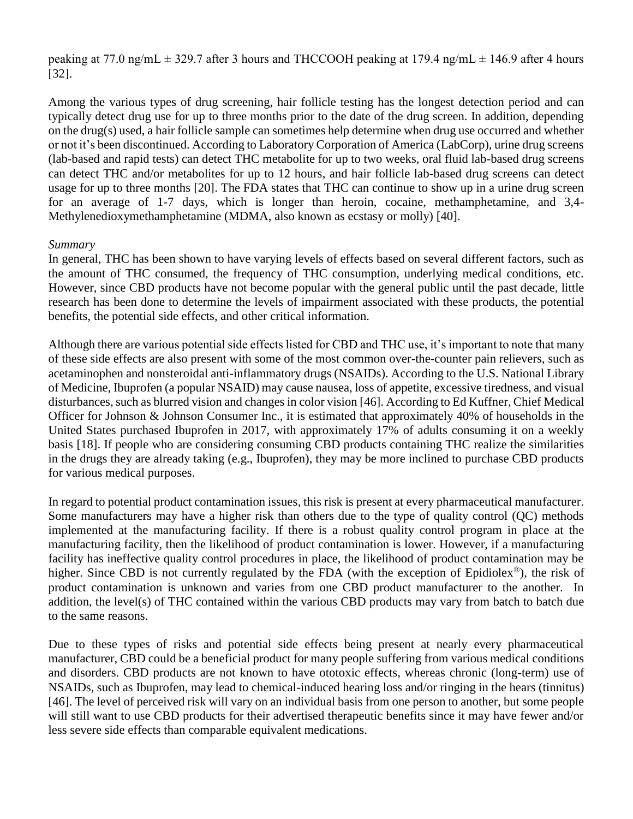peaking at 77.0 ng/mL  $\pm$  329.7 after 3 hours and THCCOOH peaking at 179.4 ng/mL  $\pm$  146.9 after 4 hours [32].

Among the various types of drug screening, hair follicle testing has the longest detection period and can typically detect drug use for up to three months prior to the date of the drug screen. In addition, depending on the drug(s) used, a hair follicle sample can sometimes help determine when drug use occurred and whether or not it's been discontinued. According to Laboratory Corporation of America (LabCorp), urine drug screens (lab-based and rapid tests) can detect THC metabolite for up to two weeks, oral fluid lab-based drug screens can detect THC and/or metabolites for up to 12 hours, and hair follicle lab-based drug screens can detect usage for up to three months [20]. The FDA states that THC can continue to show up in a urine drug screen for an average of 1-7 days, which is longer than heroin, cocaine, methamphetamine, and 3,4- Methylenedioxymethamphetamine (MDMA, also known as ecstasy or molly) [40].

## *Summary*

In general, THC has been shown to have varying levels of effects based on several different factors, such as the amount of THC consumed, the frequency of THC consumption, underlying medical conditions, etc. However, since CBD products have not become popular with the general public until the past decade, little research has been done to determine the levels of impairment associated with these products, the potential benefits, the potential side effects, and other critical information.

Although there are various potential side effects listed for CBD and THC use, it's important to note that many of these side effects are also present with some of the most common over-the-counter pain relievers, such as acetaminophen and nonsteroidal anti-inflammatory drugs (NSAIDs). According to the U.S. National Library of Medicine, Ibuprofen (a popular NSAID) may cause nausea, loss of appetite, excessive tiredness, and visual disturbances, such as blurred vision and changes in color vision [46]. According to Ed Kuffner, Chief Medical Officer for Johnson & Johnson Consumer Inc., it is estimated that approximately 40% of households in the United States purchased Ibuprofen in 2017, with approximately 17% of adults consuming it on a weekly basis [18]. If people who are considering consuming CBD products containing THC realize the similarities in the drugs they are already taking (e.g., Ibuprofen), they may be more inclined to purchase CBD products for various medical purposes.

In regard to potential product contamination issues, this risk is present at every pharmaceutical manufacturer. Some manufacturers may have a higher risk than others due to the type of quality control (QC) methods implemented at the manufacturing facility. If there is a robust quality control program in place at the manufacturing facility, then the likelihood of product contamination is lower. However, if a manufacturing facility has ineffective quality control procedures in place, the likelihood of product contamination may be higher. Since CBD is not currently regulated by the FDA (with the exception of Epidiolex<sup>®</sup>), the risk of product contamination is unknown and varies from one CBD product manufacturer to the another. In addition, the level(s) of THC contained within the various CBD products may vary from batch to batch due to the same reasons.

Due to these types of risks and potential side effects being present at nearly every pharmaceutical manufacturer, CBD could be a beneficial product for many people suffering from various medical conditions and disorders. CBD products are not known to have ototoxic effects, whereas chronic (long-term) use of NSAIDs, such as Ibuprofen, may lead to chemical-induced hearing loss and/or ringing in the hears (tinnitus) [46]. The level of perceived risk will vary on an individual basis from one person to another, but some people will still want to use CBD products for their advertised therapeutic benefits since it may have fewer and/or less severe side effects than comparable equivalent medications.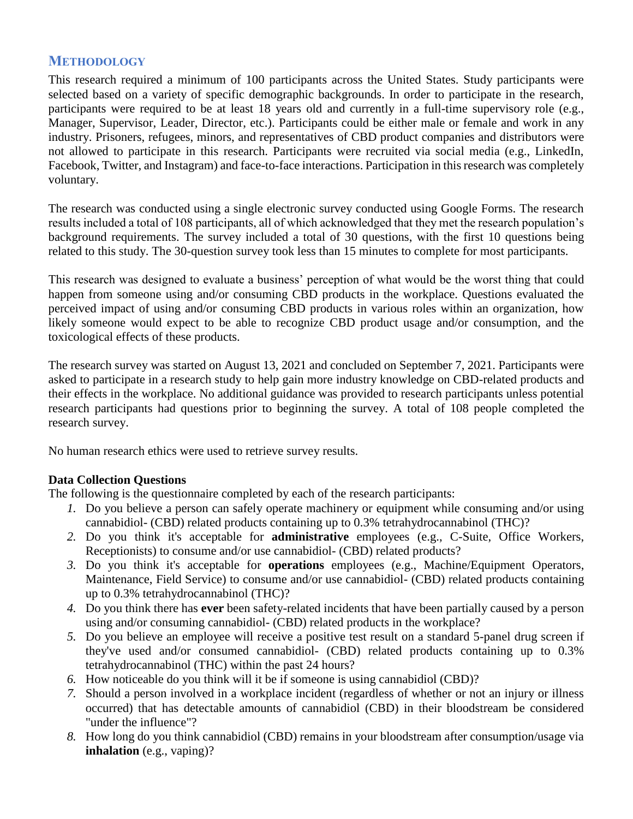# **METHODOLOGY**

This research required a minimum of 100 participants across the United States. Study participants were selected based on a variety of specific demographic backgrounds. In order to participate in the research, participants were required to be at least 18 years old and currently in a full-time supervisory role (e.g., Manager, Supervisor, Leader, Director, etc.). Participants could be either male or female and work in any industry. Prisoners, refugees, minors, and representatives of CBD product companies and distributors were not allowed to participate in this research. Participants were recruited via social media (e.g., LinkedIn, Facebook, Twitter, and Instagram) and face-to-face interactions. Participation in this research was completely voluntary.

The research was conducted using a single electronic survey conducted using Google Forms. The research results included a total of 108 participants, all of which acknowledged that they met the research population's background requirements. The survey included a total of 30 questions, with the first 10 questions being related to this study. The 30-question survey took less than 15 minutes to complete for most participants.

This research was designed to evaluate a business' perception of what would be the worst thing that could happen from someone using and/or consuming CBD products in the workplace. Questions evaluated the perceived impact of using and/or consuming CBD products in various roles within an organization, how likely someone would expect to be able to recognize CBD product usage and/or consumption, and the toxicological effects of these products.

The research survey was started on August 13, 2021 and concluded on September 7, 2021. Participants were asked to participate in a research study to help gain more industry knowledge on CBD-related products and their effects in the workplace. No additional guidance was provided to research participants unless potential research participants had questions prior to beginning the survey. A total of 108 people completed the research survey.

No human research ethics were used to retrieve survey results.

# **Data Collection Questions**

The following is the questionnaire completed by each of the research participants:

- *1.* Do you believe a person can safely operate machinery or equipment while consuming and/or using cannabidiol- (CBD) related products containing up to 0.3% tetrahydrocannabinol (THC)?
- *2.* Do you think it's acceptable for **administrative** employees (e.g., C-Suite, Office Workers, Receptionists) to consume and/or use cannabidiol- (CBD) related products?
- *3.* Do you think it's acceptable for **operations** employees (e.g., Machine/Equipment Operators, Maintenance, Field Service) to consume and/or use cannabidiol- (CBD) related products containing up to 0.3% tetrahydrocannabinol (THC)?
- *4.* Do you think there has **ever** been safety-related incidents that have been partially caused by a person using and/or consuming cannabidiol- (CBD) related products in the workplace?
- *5.* Do you believe an employee will receive a positive test result on a standard 5-panel drug screen if they've used and/or consumed cannabidiol- (CBD) related products containing up to 0.3% tetrahydrocannabinol (THC) within the past 24 hours?
- *6.* How noticeable do you think will it be if someone is using cannabidiol (CBD)?
- *7.* Should a person involved in a workplace incident (regardless of whether or not an injury or illness occurred) that has detectable amounts of cannabidiol (CBD) in their bloodstream be considered "under the influence"?
- *8.* How long do you think cannabidiol (CBD) remains in your bloodstream after consumption/usage via **inhalation** (e.g., vaping)?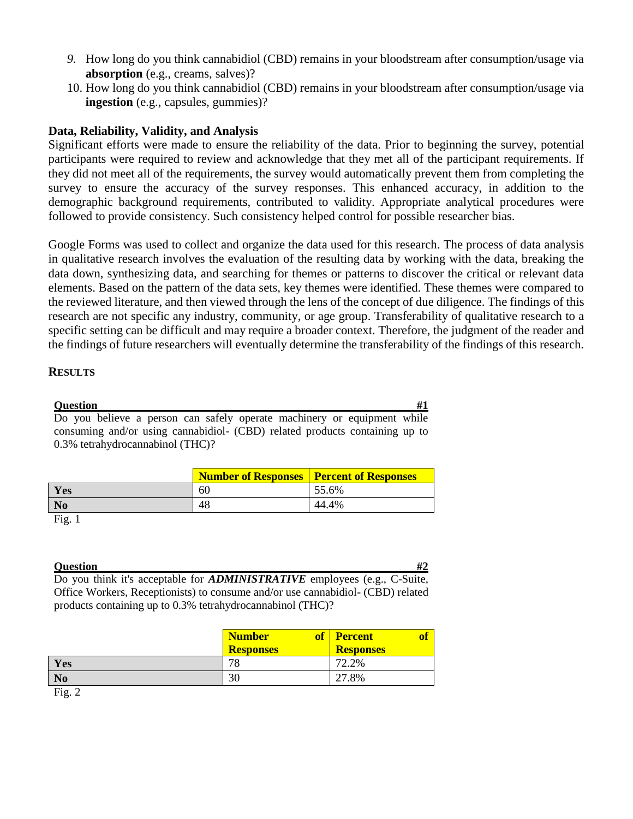- *9.* How long do you think cannabidiol (CBD) remains in your bloodstream after consumption/usage via **absorption** (e.g., creams, salves)?
- 10. How long do you think cannabidiol (CBD) remains in your bloodstream after consumption/usage via **ingestion** (e.g., capsules, gummies)?

## **Data, Reliability, Validity, and Analysis**

Significant efforts were made to ensure the reliability of the data. Prior to beginning the survey, potential participants were required to review and acknowledge that they met all of the participant requirements. If they did not meet all of the requirements, the survey would automatically prevent them from completing the survey to ensure the accuracy of the survey responses. This enhanced accuracy, in addition to the demographic background requirements, contributed to validity. Appropriate analytical procedures were followed to provide consistency. Such consistency helped control for possible researcher bias.

Google Forms was used to collect and organize the data used for this research. The process of data analysis in qualitative research involves the evaluation of the resulting data by working with the data, breaking the data down, synthesizing data, and searching for themes or patterns to discover the critical or relevant data elements. Based on the pattern of the data sets, key themes were identified. These themes were compared to the reviewed literature, and then viewed through the lens of the concept of due diligence. The findings of this research are not specific any industry, community, or age group. Transferability of qualitative research to a specific setting can be difficult and may require a broader context. Therefore, the judgment of the reader and the findings of future researchers will eventually determine the transferability of the findings of this research.

#### **RESULTS**

# **Question #1**

Do you believe a person can safely operate machinery or equipment while consuming and/or using cannabidiol- (CBD) related products containing up to 0.3% tetrahydrocannabinol (THC)?

|     | <b>Number of Responses   Percent of Responses</b> |       |
|-----|---------------------------------------------------|-------|
| Yes | 60                                                | 55.6% |
|     | 48                                                | 44.4% |

#### Fig. 1

#### **Question #2** *#2*

Do you think it's acceptable for *ADMINISTRATIVE* employees (e.g., C-Suite, Office Workers, Receptionists) to consume and/or use cannabidiol- (CBD) related products containing up to 0.3% tetrahydrocannabinol (THC)?

|                                    | <b>Number</b><br><b>of</b><br><b>Responses</b> | <b>Percent</b><br><b>Responses</b> |
|------------------------------------|------------------------------------------------|------------------------------------|
| Yes                                | 78                                             | 72.2%                              |
| N <sub>o</sub>                     | 30                                             | 27.8%                              |
| $\overline{\phantom{a}}$<br>$\sim$ |                                                |                                    |

Fig. 2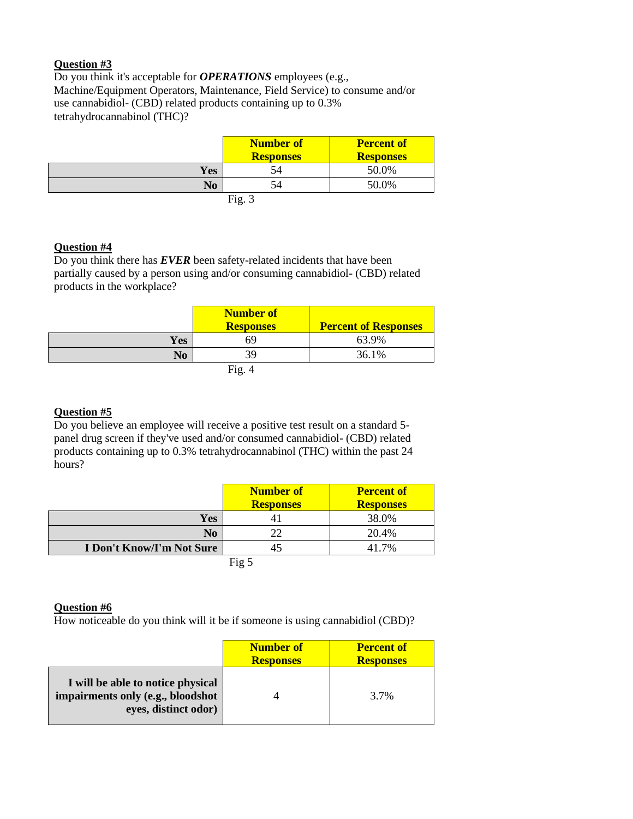## **Question #3**

Do you think it's acceptable for *OPERATIONS* employees (e.g., Machine/Equipment Operators, Maintenance, Field Service) to consume and/or use cannabidiol- (CBD) related products containing up to 0.3% tetrahydrocannabinol (THC)?

|                | <b>Number of</b><br><b>Responses</b> | <b>Percent of</b><br><b>Responses</b> |
|----------------|--------------------------------------|---------------------------------------|
| <b>Yes</b>     | 54                                   | 50.0%                                 |
| N <sub>0</sub> | 54                                   | 50.0%                                 |
|                | Fig. .                               |                                       |

#### **Question #4**

Do you think there has *EVER* been safety-related incidents that have been partially caused by a person using and/or consuming cannabidiol- (CBD) related products in the workplace?

|            | Number of<br><b>Responses</b> | <b>Percent of Responses</b> |
|------------|-------------------------------|-----------------------------|
| <b>Yes</b> |                               | 63.9%                       |
| No         | 39                            | 36.1%                       |
|            | Fig. 4                        |                             |

#### **Question #5**

Do you believe an employee will receive a positive test result on a standard 5 panel drug screen if they've used and/or consumed cannabidiol- (CBD) related products containing up to 0.3% tetrahydrocannabinol (THC) within the past 24 hours?

|                                  | <b>Number of</b><br><b>Responses</b> | <b>Percent of</b><br><b>Responses</b> |
|----------------------------------|--------------------------------------|---------------------------------------|
| Yes                              |                                      | 38.0%                                 |
| N <sub>0</sub>                   | 22                                   | 20.4%                                 |
| <b>I Don't Know/I'm Not Sure</b> |                                      | 41.7%                                 |
|                                  | Fig 5                                |                                       |

#### **Question #6**

How noticeable do you think will it be if someone is using cannabidiol (CBD)?

|                                                                                                | <b>Number of</b><br><b>Responses</b> | <b>Percent of</b><br><b>Responses</b> |
|------------------------------------------------------------------------------------------------|--------------------------------------|---------------------------------------|
| I will be able to notice physical<br>impairments only (e.g., bloodshot<br>eyes, distinct odor) |                                      | 3.7%                                  |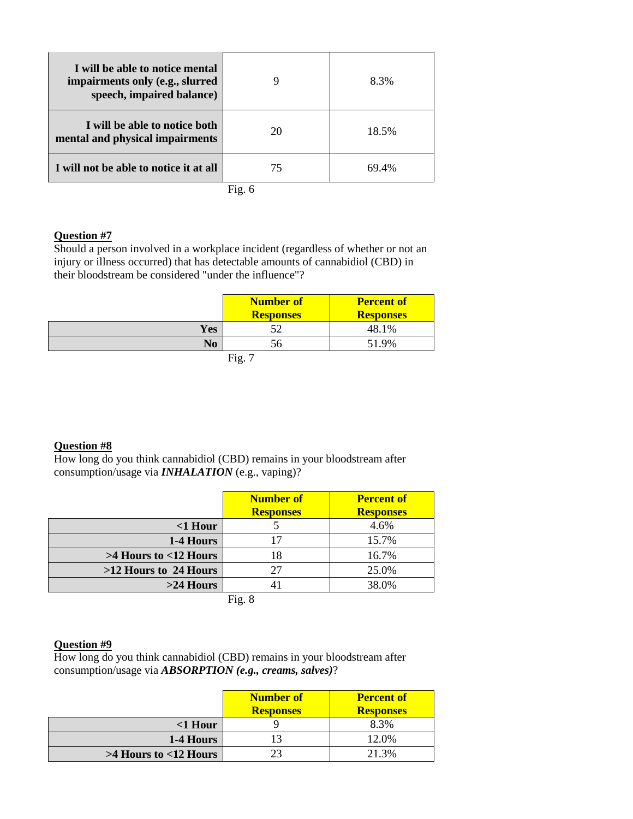| I will be able to notice mental<br>impairments only (e.g., slurred<br>speech, impaired balance) |          | 8.3%  |
|-------------------------------------------------------------------------------------------------|----------|-------|
| I will be able to notice both<br>mental and physical impairments                                | 20       | 18.5% |
| I will not be able to notice it at all                                                          | 75       | 69.4% |
|                                                                                                 | Fig. $6$ |       |

#### **Question #7**

Should a person involved in a workplace incident (regardless of whether or not an injury or illness occurred) that has detectable amounts of cannabidiol (CBD) in their bloodstream be considered "under the influence"?

|     | <b>Number of</b><br><b>Responses</b> | <b>Percent of</b><br><b>Responses</b> |
|-----|--------------------------------------|---------------------------------------|
| Yes |                                      | 48.1%                                 |
| No  | эo                                   | 51.9%                                 |
|     | $\Gamma$ io                          |                                       |

Fig.  $7$ 

#### **Question #8**

How long do you think cannabidiol (CBD) remains in your bloodstream after consumption/usage via *INHALATION* (e.g., vaping)?

|                            | Number of<br><b>Responses</b> | <b>Percent of</b><br><b>Responses</b> |
|----------------------------|-------------------------------|---------------------------------------|
| $<$ 1 Hour                 |                               | 4.6%                                  |
| 1-4 Hours                  | 17                            | 15.7%                                 |
| $>4$ Hours to $<$ 12 Hours | 18                            | 16.7%                                 |
| $>12$ Hours to 24 Hours    | 27                            | 25.0%                                 |
| $>24$ Hours                | 41                            | 38.0%                                 |
|                            | Fig. 8                        |                                       |

#### **Question #9**

How long do you think cannabidiol (CBD) remains in your bloodstream after consumption/usage via *ABSORPTION (e.g., creams, salves)*?

|                            | <b>Number of</b><br><b>Responses</b> | <b>Percent of</b><br><b>Responses</b> |
|----------------------------|--------------------------------------|---------------------------------------|
| $<$ 1 Hour                 |                                      | 8.3%                                  |
| 1-4 Hours                  |                                      | 12.0%                                 |
| $>4$ Hours to $<$ 12 Hours | 23                                   | 21.3%                                 |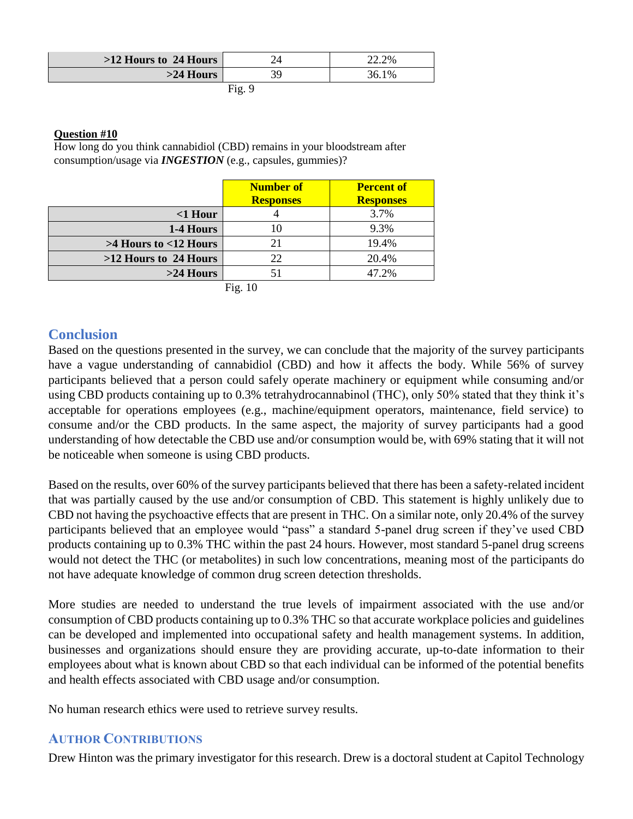| $>12$ Hours to 24 Hours |      | 22.2% |
|-------------------------|------|-------|
| $>24$ Hours             |      | 36.1% |
|                         | Fig. |       |

#### **Question #10**

How long do you think cannabidiol (CBD) remains in your bloodstream after consumption/usage via *INGESTION* (e.g., capsules, gummies)?

|                            | <b>Number of</b><br><b>Responses</b> | <b>Percent of</b><br><b>Responses</b> |
|----------------------------|--------------------------------------|---------------------------------------|
| $<$ 1 Hour                 |                                      | 3.7%                                  |
| 1-4 Hours                  | 10                                   | 9.3%                                  |
| $>4$ Hours to $<$ 12 Hours | 21                                   | 19.4%                                 |
| >12 Hours to 24 Hours      | 22                                   | 20.4%                                 |
| $>24$ Hours                |                                      | 47.2%                                 |

Fig. 10

# **Conclusion**

Based on the questions presented in the survey, we can conclude that the majority of the survey participants have a vague understanding of cannabidiol (CBD) and how it affects the body. While 56% of survey participants believed that a person could safely operate machinery or equipment while consuming and/or using CBD products containing up to 0.3% tetrahydrocannabinol (THC), only 50% stated that they think it's acceptable for operations employees (e.g., machine/equipment operators, maintenance, field service) to consume and/or the CBD products. In the same aspect, the majority of survey participants had a good understanding of how detectable the CBD use and/or consumption would be, with 69% stating that it will not be noticeable when someone is using CBD products.

Based on the results, over 60% of the survey participants believed that there has been a safety-related incident that was partially caused by the use and/or consumption of CBD. This statement is highly unlikely due to CBD not having the psychoactive effects that are present in THC. On a similar note, only 20.4% of the survey participants believed that an employee would "pass" a standard 5-panel drug screen if they've used CBD products containing up to 0.3% THC within the past 24 hours. However, most standard 5-panel drug screens would not detect the THC (or metabolites) in such low concentrations, meaning most of the participants do not have adequate knowledge of common drug screen detection thresholds.

More studies are needed to understand the true levels of impairment associated with the use and/or consumption of CBD products containing up to 0.3% THC so that accurate workplace policies and guidelines can be developed and implemented into occupational safety and health management systems. In addition, businesses and organizations should ensure they are providing accurate, up-to-date information to their employees about what is known about CBD so that each individual can be informed of the potential benefits and health effects associated with CBD usage and/or consumption.

No human research ethics were used to retrieve survey results.

# **AUTHOR CONTRIBUTIONS**

Drew Hinton was the primary investigator for this research. Drew is a doctoral student at Capitol Technology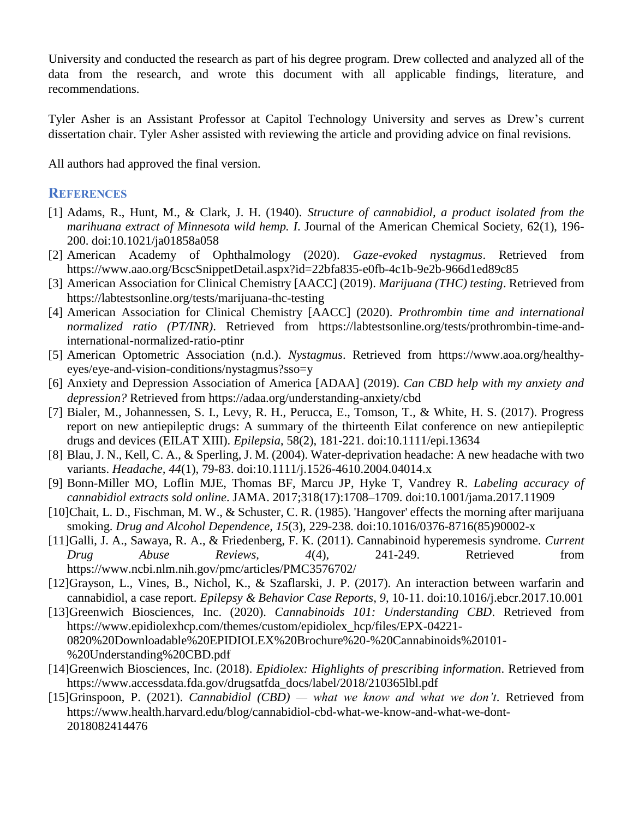University and conducted the research as part of his degree program. Drew collected and analyzed all of the data from the research, and wrote this document with all applicable findings, literature, and recommendations.

Tyler Asher is an Assistant Professor at Capitol Technology University and serves as Drew's current dissertation chair. Tyler Asher assisted with reviewing the article and providing advice on final revisions.

All authors had approved the final version.

## **REFERENCES**

- [1] Adams, R., Hunt, M., & Clark, J. H. (1940). *Structure of cannabidiol, a product isolated from the marihuana extract of Minnesota wild hemp. I*. Journal of the American Chemical Society, 62(1), 196- 200. doi:10.1021/ja01858a058
- [2] American Academy of Ophthalmology (2020). *Gaze-evoked nystagmus*. Retrieved from https://www.aao.org/BcscSnippetDetail.aspx?id=22bfa835-e0fb-4c1b-9e2b-966d1ed89c85
- [3] American Association for Clinical Chemistry [AACC] (2019). *Marijuana (THC) testing*. Retrieved from https://labtestsonline.org/tests/marijuana-thc-testing
- [4] American Association for Clinical Chemistry [AACC] (2020). *Prothrombin time and international normalized ratio (PT/INR)*. Retrieved from https://labtestsonline.org/tests/prothrombin-time-andinternational-normalized-ratio-ptinr
- [5] American Optometric Association (n.d.). *Nystagmus*. Retrieved from https://www.aoa.org/healthyeyes/eye-and-vision-conditions/nystagmus?sso=y
- [6] Anxiety and Depression Association of America [ADAA] (2019). *Can CBD help with my anxiety and depression?* Retrieved from https://adaa.org/understanding-anxiety/cbd
- [7] Bialer, M., Johannessen, S. I., Levy, R. H., Perucca, E., Tomson, T., & White, H. S. (2017). Progress report on new antiepileptic drugs: A summary of the thirteenth Eilat conference on new antiepileptic drugs and devices (EILAT XIII). *Epilepsia*, 58(2), 181-221. doi:10.1111/epi.13634
- [8] Blau, J. N., Kell, C. A., & Sperling, J. M. (2004). Water-deprivation headache: A new headache with two variants. *Headache, 44*(1), 79-83. doi:10.1111/j.1526-4610.2004.04014.x
- [9] Bonn-Miller MO, Loflin MJE, Thomas BF, Marcu JP, Hyke T, Vandrey R. *Labeling accuracy of cannabidiol extracts sold online*. JAMA. 2017;318(17):1708–1709. doi:10.1001/jama.2017.11909
- [10]Chait, L. D., Fischman, M. W., & Schuster, C. R. (1985). 'Hangover' effects the morning after marijuana smoking. *Drug and Alcohol Dependence, 15*(3), 229-238. doi:10.1016/0376-8716(85)90002-x
- [11]Galli, J. A., Sawaya, R. A., & Friedenberg, F. K. (2011). Cannabinoid hyperemesis syndrome. *Current Drug Abuse Reviews, 4*(4), 241-249. Retrieved from https://www.ncbi.nlm.nih.gov/pmc/articles/PMC3576702/
- [12]Grayson, L., Vines, B., Nichol, K., & Szaflarski, J. P. (2017). An interaction between warfarin and cannabidiol, a case report. *Epilepsy & Behavior Case Reports, 9*, 10-11. doi:10.1016/j.ebcr.2017.10.001
- [13]Greenwich Biosciences, Inc. (2020). *Cannabinoids 101: Understanding CBD*. Retrieved from https://www.epidiolexhcp.com/themes/custom/epidiolex\_hcp/files/EPX-04221- 0820%20Downloadable%20EPIDIOLEX%20Brochure%20-%20Cannabinoids%20101- %20Understanding%20CBD.pdf
- [14]Greenwich Biosciences, Inc. (2018). *Epidiolex: Highlights of prescribing information*. Retrieved from https://www.accessdata.fda.gov/drugsatfda\_docs/label/2018/210365lbl.pdf
- [15]Grinspoon, P. (2021). *Cannabidiol (CBD) — what we know and what we don't*. Retrieved from https://www.health.harvard.edu/blog/cannabidiol-cbd-what-we-know-and-what-we-dont-2018082414476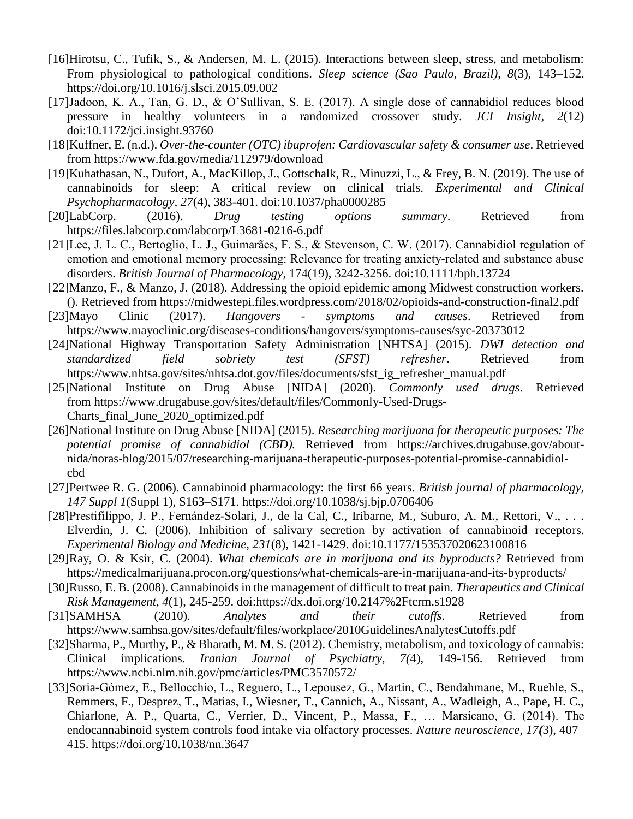- [16]Hirotsu, C., Tufik, S., & Andersen, M. L. (2015). Interactions between sleep, stress, and metabolism: From physiological to pathological conditions. *Sleep science (Sao Paulo, Brazil), 8*(3), 143–152. https://doi.org/10.1016/j.slsci.2015.09.002
- [17]Jadoon, K. A., Tan, G. D., & O'Sullivan, S. E. (2017). A single dose of cannabidiol reduces blood pressure in healthy volunteers in a randomized crossover study. *JCI Insight, 2*(12) doi:10.1172/jci.insight.93760
- [18]Kuffner, E. (n.d.). *Over-the-counter (OTC) ibuprofen: Cardiovascular safety & consumer use*. Retrieved from https://www.fda.gov/media/112979/download
- [19]Kuhathasan, N., Dufort, A., MacKillop, J., Gottschalk, R., Minuzzi, L., & Frey, B. N. (2019). The use of cannabinoids for sleep: A critical review on clinical trials. *Experimental and Clinical Psychopharmacology, 27*(4), 383-401. doi:10.1037/pha0000285
- [20]LabCorp. (2016). *Drug testing options summary*. Retrieved from https://files.labcorp.com/labcorp/L3681-0216-6.pdf
- [21]Lee, J. L. C., Bertoglio, L. J., Guimarães, F. S., & Stevenson, C. W. (2017). Cannabidiol regulation of emotion and emotional memory processing: Relevance for treating anxiety-related and substance abuse disorders. *British Journal of Pharmacology*, 174(19), 3242-3256. doi:10.1111/bph.13724
- [22]Manzo, F., & Manzo, J. (2018). Addressing the opioid epidemic among Midwest construction workers. (). Retrieved from https://midwestepi.files.wordpress.com/2018/02/opioids-and-construction-final2.pdf
- [23]Mayo Clinic (2017). *Hangovers - symptoms and causes*. Retrieved from https://www.mayoclinic.org/diseases-conditions/hangovers/symptoms-causes/syc-20373012
- [24]National Highway Transportation Safety Administration [NHTSA] (2015). *DWI detection and standardized field sobriety test (SFST) refresher*. Retrieved from https://www.nhtsa.gov/sites/nhtsa.dot.gov/files/documents/sfst\_ig\_refresher\_manual.pdf
- [25]National Institute on Drug Abuse [NIDA] (2020). *Commonly used drugs*. Retrieved from https://www.drugabuse.gov/sites/default/files/Commonly-Used-Drugs-Charts\_final\_June\_2020\_optimized.pdf
- [26]National Institute on Drug Abuse [NIDA] (2015). *Researching marijuana for therapeutic purposes: The potential promise of cannabidiol (CBD).* Retrieved from https://archives.drugabuse.gov/aboutnida/noras-blog/2015/07/researching-marijuana-therapeutic-purposes-potential-promise-cannabidiolcbd
- [27]Pertwee R. G. (2006). Cannabinoid pharmacology: the first 66 years. *British journal of pharmacology, 147 Suppl 1*(Suppl 1), S163–S171. https://doi.org/10.1038/sj.bjp.0706406
- [28]Prestifilippo, J. P., Fernández-Solari, J., de la Cal, C., Iribarne, M., Suburo, A. M., Rettori, V., . . . Elverdin, J. C. (2006). Inhibition of salivary secretion by activation of cannabinoid receptors. *Experimental Biology and Medicine, 231*(8), 1421-1429. doi:10.1177/153537020623100816
- [29]Ray, O. & Ksir, C. (2004). *What chemicals are in marijuana and its byproducts?* Retrieved from https://medicalmarijuana.procon.org/questions/what-chemicals-are-in-marijuana-and-its-byproducts/
- [30]Russo, E. B. (2008). Cannabinoids in the management of difficult to treat pain. *Therapeutics and Clinical Risk Management, 4*(1), 245-259. doi:https://dx.doi.org/10.2147%2Ftcrm.s1928
- [31]SAMHSA (2010). *Analytes and their cutoffs*. Retrieved from https://www.samhsa.gov/sites/default/files/workplace/2010GuidelinesAnalytesCutoffs.pdf
- [32]Sharma, P., Murthy, P., & Bharath, M. M. S. (2012). Chemistry, metabolism, and toxicology of cannabis: Clinical implications. *Iranian Journal of Psychiatry, 7(*4), 149-156. Retrieved from https://www.ncbi.nlm.nih.gov/pmc/articles/PMC3570572/
- [33]Soria-Gómez, E., Bellocchio, L., Reguero, L., Lepousez, G., Martin, C., Bendahmane, M., Ruehle, S., Remmers, F., Desprez, T., Matias, I., Wiesner, T., Cannich, A., Nissant, A., Wadleigh, A., Pape, H. C., Chiarlone, A. P., Quarta, C., Verrier, D., Vincent, P., Massa, F., … Marsicano, G. (2014). The endocannabinoid system controls food intake via olfactory processes. *Nature neuroscience, 17(*3), 407– 415. https://doi.org/10.1038/nn.3647